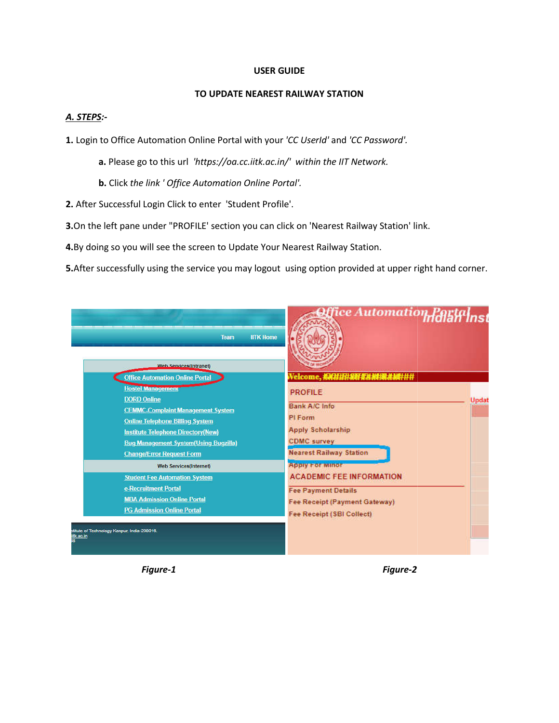#### **USER GUIDE**

#### **TO UPDATE NEAREST RAILWAY STATION**

## *A. STEPS:-*

**1.** Login to Office Automation Online Portal with your *'CC UserId'* and *'CC Password'.*

a. Please go to this url 'https://oa.cc.iitk.ac.in/' within the IIT Network.

**b.** Click *the link ' Office Automation Online Portal' Portal'.*

**2.** After Successful Login Click to enter 'Student Profile'.

**3.**On the left pane under "PROFILE' section you can click on 'Nearest Railway Station' link.

**4.**By doing so you will see the screen to Update Your Nearest Railway Station.

5. After successfully using the service you may logout using option provided at upper right hand corner.

| <b>IITK Home</b><br><b>Team</b>                                                                                                                                                                                                                                                                                                                  | ice Automation Partainst                                                                                                                              |
|--------------------------------------------------------------------------------------------------------------------------------------------------------------------------------------------------------------------------------------------------------------------------------------------------------------------------------------------------|-------------------------------------------------------------------------------------------------------------------------------------------------------|
| <b>Web Services(Intranet)</b><br><b>Office Automation Online Portal</b><br><b>Hostel Management</b><br><b>DORD Online</b><br><b>CEMMC-Complaint Management System</b><br><b>Online Telephone Billing System</b><br><b>Institute Telephone Directory(New)</b><br><b>Bug Management System(Using Bugzilla)</b><br><b>Change/Error Request Form</b> | <b>PROFILE</b><br>Updat<br><b>Bank A/C Info</b><br>PI Form<br><b>Apply Scholarship</b><br><b>CDMC</b> survey<br><b>Nearest Railway Station</b>        |
| <b>Web Services(Internet)</b><br><b>Student Fee Automation System</b><br>e-Recruitment Portal<br><b>MBA Admission Online Portal</b><br><b>PG Admission Online Portal</b><br>stitute of Technology Kanpur, India-208016.<br>itk.ac.in                                                                                                             | <b>Apply For Minor</b><br><b>ACADEMIC FEE INFORMATION</b><br><b>Fee Payment Details</b><br>Fee Receipt (Payment Gateway)<br>Fee Receipt (SBI Collect) |

*Figure-1* 

 *Figure-2*